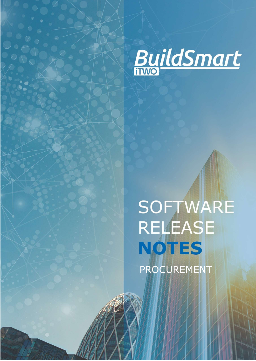

# SOFTWARE **RELEASE** NOTES

PROCUREMENT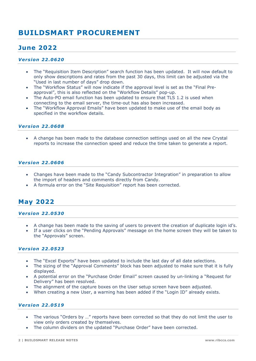# BUILDSMART PROCUREMENT

# June 2022

# Vers ion 22 .0620

- The "Requisition Item Description" search function has been updated. It will now default to only show descriptions and rates from the past 30 days, this limit can be adjusted via the "Used in last number of days" drop down.
- The "Workflow Status" will now indicate if the approval level is set as the "Final Preapproval", this is also reflected on the "Workflow Details" pop-up.
- The Auto-PO email function has been updated to ensure that TLS 1.2 is used when connecting to the email server, the time-out has also been increased.
- The "Workflow Approval Emails" have been updated to make use of the email body as specified in the workflow details.

# Vers ion 22 .0608

 A change has been made to the database connection settings used on all the new Crystal reports to increase the connection speed and reduce the time taken to generate a report.

# Vers ion 22 .0606

- Changes have been made to the "Candy Subcontractor Integration" in preparation to allow the import of headers and comments directly from Candy.
- A formula error on the "Site Requisition" report has been corrected.

# May 2022

## Vers ion 22 .0530

- A change has been made to the saving of users to prevent the creation of duplicate login id's.
- If a user clicks on the "Pending Approvals" message on the home screen they will be taken to the "Approvals" screen.

## Vers ion 22 .0523

- The "Excel Exports" have been updated to include the last day of all date selections.
- The sizing of the "Approval Comments" block has been adjusted to make sure that it is fully displayed.
- A potential error on the "Purchase Order Email" screen caused by un-linking a "Request for Delivery" has been resolved.
- The alignment of the capture boxes on the User setup screen have been adjusted.
- When creating a new User, a warning has been added if the "Login ID" already exists.

## Vers ion 22 .0519

- The various "Orders by …" reports have been corrected so that they do not limit the user to view only orders created by themselves.
- The column dividers on the updated "Purchase Order" have been corrected.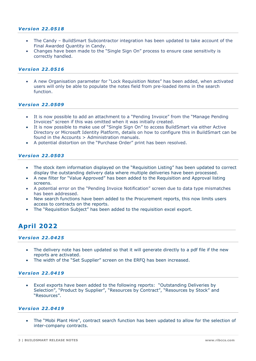# Vers ion 22 .0518

- The Candy BuildSmart Subcontractor integration has been updated to take account of the Final Awarded Quantity in Candy.
- Changes have been made to the "Single Sign On" process to ensure case sensitivity is correctly handled.

# **Version 22.0516**

 A new Organisation parameter for "Lock Requisition Notes" has been added, when activated users will only be able to populate the notes field from pre-loaded items in the search function.

## Vers ion 22 .0509

- It is now possible to add an attachment to a "Pending Invoice" from the "Manage Pending Invoices" screen if this was omitted when it was initially created.
- It is now possible to make use of "Single Sign On" to access BuildSmart via either Active Directory or Microsoft Identity Platform, details on how to configure this in BuildSmart can be found in the Accounts > Administration manuals.
- A potential distortion on the "Purchase Order" print has been resolved.

#### Vers ion 22 .0503

- The stock item information displayed on the "Requisition Listing" has been updated to correct display the outstanding delivery data where multiple deliveries have been processed.
- A new filter for "Value Approved" has been added to the Requisition and Approval listing screens.
- A potential error on the "Pending Invoice Notification" screen due to data type mismatches has been addressed.
- New search functions have been added to the Procurement reports, this now limits users access to contracts on the reports.
- The "Requisition Subject" has been added to the requisition excel export.

# April 2022

# Vers ion 22 .0425

- The delivery note has been updated so that it will generate directly to a pdf file if the new reports are activated.
- The width of the "Set Supplier" screen on the ERFQ has been increased.

#### **Version 22.0419**

 Excel exports have been added to the following reports: "Outstanding Deliveries by Selection", "Product by Supplier", "Resources by Contract", "Resources by Stock" and "Resources".

#### Vers ion 22 .0419

 The "Mobi Plant Hire", contract search function has been updated to allow for the selection of inter-company contracts.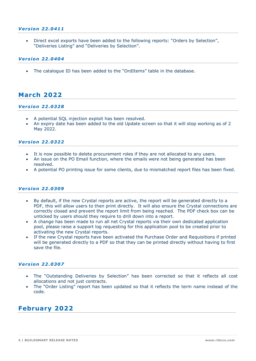## Vers ion 22 .0411

 Direct excel exports have been added to the following reports: "Orders by Selection", "Deliveries Listing" and "Deliveries by Selection".

# Vers ion 22 .0404

The catalogue ID has been added to the "OrdItems" table in the database.

# March 2022

## Vers ion 22 .0328

- A potential SQL injection exploit has been resolved.
- An expiry date has been added to the old Update screen so that it will stop working as of 2 May 2022.

# Vers ion 22 .0322

- It is now possible to delete procurement roles if they are not allocated to any users.
- An issue on the PO Email function, where the emails were not being generated has been resolved.
- A potential PO printing issue for some clients, due to mismatched report files has been fixed.

## Vers ion 22 .0309

- By default, if the new Crystal reports are active, the report will be generated directly to a PDF, this will allow users to then print directly. It will also ensure the Crystal connections are correctly closed and prevent the report limit from being reached. The PDF check box can be unticked by users should they require to drill down into a report.
- A change has been made to run all net Crystal reports via their own dedicated application pool, please raise a support log requesting for this application pool to be created prior to activating the new Crystal reports.
- If the new Crystal reports have been activated the Purchase Order and Requisitions if printed will be generated directly to a PDF so that they can be printed directly without having to first save the file.

## **Version 22.0307**

- The "Outstanding Deliveries by Selection" has been corrected so that it reflects all cost allocations and not just contracts.
- The "Order Listing" report has been updated so that it reflects the term name instead of the code.

# February 2022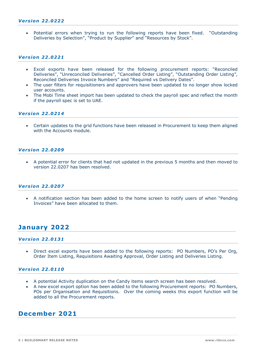• Potential errors when trying to run the following reports have been fixed. "Outstanding Deliveries by Selection", "Product by Supplier" and "Resources by Stock".

#### Vers ion 22 .0221

- Excel exports have been released for the following procurement reports: "Reconciled Deliveries", "Unreconciled Deliveries", "Cancelled Order Listing", "Outstanding Order Listing", Reconciled Deliveries Invoice Numbers" and "Required vs Delivery Dates".
- The user filters for requisitioners and approvers have been updated to no longer show locked user accounts.
- The Mobi Time sheet import has been updated to check the payroll spec and reflect the month if the payroll spec is set to UAE.

# Vers ion 22 .0214

 Certain updates to the grid functions have been released in Procurement to keep them aligned with the Accounts module.

## Vers ion 22 .0209

 A potential error for clients that had not updated in the previous 5 months and then moved to version 22.0207 has been resolved.

## Vers ion 22 .0207

 A notification section has been added to the home screen to notify users of when "Pending Invoices" have been allocated to them.

# January 2022

#### Vers ion 22 .0131

 Direct excel exports have been added to the following reports: PO Numbers, PO's Per Org, Order Item Listing, Requisitions Awaiting Approval, Order Listing and Deliveries Listing.

#### Vers ion 22 .0110

- A potential Activity duplication on the Candy items search screen has been resolved.
- A new excel export option has been added to the following Procurement reports: PO Numbers, POs per Organisation and Requisitions. Over the coming weeks this export function will be added to all the Procurement reports.

# December 2021

5 | BUILDSMART RELEASE NOTES www.ribccs.com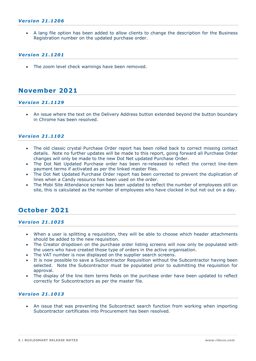A lang file option has been added to allow clients to change the description for the Business Registration number on the updated purchase order.

# Vers ion 21 .1201

The zoom level check warnings have been removed.

# November 2021

# Vers ion 21 .1129

 An issue where the text on the Delivery Address button extended beyond the button boundary in Chrome has been resolved.

# Vers ion 21 .1102

- The old classic crystal Purchase Order report has been rolled back to correct missing contact details. Note no further updates will be made to this report, going forward all Purchase Order changes will only be made to the new Dot Net updated Purchase Order.
- The Dot Net Updated Purchase order has been re-released to reflect the correct line-item payment terms if activated as per the linked master files.
- The Dot Net Updated Purchase Order report has been corrected to prevent the duplication of lines when a Candy resource has been used on the order.
- The Mobi Site Attendance screen has been updated to reflect the number of employees still on site, this is calculated as the number of employees who have clocked in but not out on a day.

# October 2021

# Vers ion 21 .1025

- When a user is splitting a requisition, they will be able to choose which header attachments should be added to the new requisition.
- The Creator dropdown on the purchase order listing screens will now only be populated with the users who have created those type of orders in the active organisation.
- The VAT number is now displayed on the supplier search screens.
- It is now possible to save a Subcontractor Requisition without the Subcontractor having been selected. Note the Subcontractor must be populated prior to submitting the requisition for approval.
- The display of the line item terms fields on the purchase order have been updated to reflect correctly for Subcontractors as per the master file.

# Vers ion 21 .1013

 An issue that was preventing the Subcontract search function from working when importing Subcontractor certificates into Procurement has been resolved.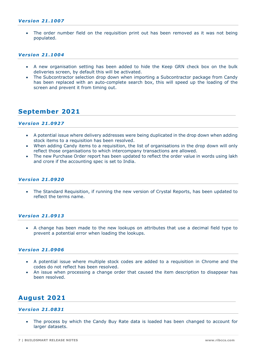• The order number field on the requisition print out has been removed as it was not being populated.

#### Vers ion 21 .1004

- A new organisation setting has been added to hide the Keep GRN check box on the bulk deliveries screen, by default this will be activated.
- The Subcontractor selection drop down when importing a Subcontractor package from Candy has been replaced with an auto-complete search box, this will speed up the loading of the screen and prevent it from timing out.

# September 2021

## Vers ion 21 .0927

- A potential issue where delivery addresses were being duplicated in the drop down when adding stock items to a requisition has been resolved.
- When adding Candy items to a requisition, the list of organisations in the drop down will only reflect those organisations to which intercompany transactions are allowed.
- The new Purchase Order report has been updated to reflect the order value in words using lakh and crore if the accounting spec is set to India.

#### Vers ion 21 .0920

 The Standard Requisition, if running the new version of Crystal Reports, has been updated to reflect the terms name.

## Vers ion 21 .0913

 A change has been made to the new lookups on attributes that use a decimal field type to prevent a potential error when loading the lookups.

# Vers ion 21 .0906

- A potential issue where multiple stock codes are added to a requisition in Chrome and the codes do not reflect has been resolved.
- An issue when processing a change order that caused the item description to disappear has been resolved.

# August 2021

#### Vers ion 21 .0831

 The process by which the Candy Buy Rate data is loaded has been changed to account for larger datasets.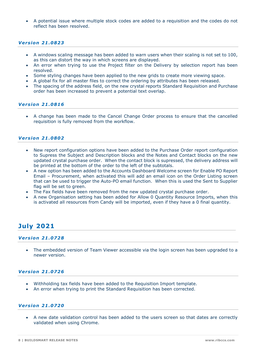A potential issue where multiple stock codes are added to a requisition and the codes do not reflect has been resolved.

## Vers ion 21 .0823

- A windows scaling message has been added to warn users when their scaling is not set to 100, as this can distort the way in which screens are displayed.
- An error when trying to use the Project filter on the Delivery by selection report has been resolved.
- Some styling changes have been applied to the new grids to create more viewing space.
- A global fix for all master files to correct the ordering by attributes has been released.
- The spacing of the address field, on the new crystal reports Standard Requisition and Purchase order has been increased to prevent a potential text overlap.

# Vers ion 21 .0816

 A change has been made to the Cancel Change Order process to ensure that the cancelled requisition is fully removed from the workflow.

# Vers ion 21 .0802

- New report configuration options have been added to the Purchase Order report configuration to Supress the Subject and Description blocks and the Notes and Contact blocks on the new updated crystal purchase order. When the contact block is supressed, the delivery address will be printed at the bottom of the order to the left of the subtotals.
- A new option has been added to the Accounts Dashboard Welcome screen for Enable PO Report Email – Procurement, when activated this will add an email icon on the Order Listing screen that can be used to trigger the Auto-PO email function. When this is used the Sent to Supplier flag will be set to green.
- The Fax fields have been removed from the new updated crystal purchase order.
- A new Organisation setting has been added for Allow 0 Quantity Resource Imports, when this is activated all resources from Candy will be imported, even if they have a 0 final quantity.

# July 2021

# Vers ion 21 .0728

 The embedded version of Team Viewer accessible via the login screen has been upgraded to a newer version.

# Vers ion 21 .0726

- Withholding tax fields have been added to the Requisition Import template.
- An error when trying to print the Standard Requisition has been corrected.

## Vers ion 21 .0720

 A new date validation control has been added to the users screen so that dates are correctly validated when using Chrome.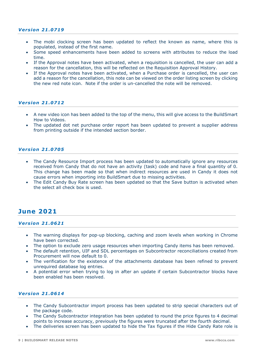# **Version 21.0719**

- The mobi clocking screen has been updated to reflect the known as name, where this is populated, instead of the first name.
- Some speed enhancements have been added to screens with attributes to reduce the load time.
- If the Approval notes have been activated, when a requisition is cancelled, the user can add a reason for the cancellation, this will be reflected on the Requisition Approval History.
- If the Approval notes have been activated, when a Purchase order is cancelled, the user can add a reason for the cancellation, this note can be viewed on the order listing screen by clicking the new red note icon. Note if the order is un-cancelled the note will be removed.

# Vers ion 21 .0712

- A new video icon has been added to the top of the menu, this will give access to the BuildSmart How to Videos.
- The updated dot net purchase order report has been updated to prevent a supplier address from printing outside if the intended section border.

# Vers ion 21 .0705

- The Candy Resource Import process has been updated to automatically ignore any resources received from Candy that do not have an activity (task) code and have a final quantity of 0. This change has been made so that when indirect resources are used in Candy it does not cause errors when importing into BuildSmart due to missing activities.
- The Edit Candy Buy Rate screen has been updated so that the Save button is activated when the select all check box is used.

# June 2021

# Vers ion 21 .0621

- The warning displays for pop-up blocking, caching and zoom levels when working in Chrome have been corrected.
- The option to exclude zero usage resources when importing Candy items has been removed.
- The default retention, UIF and SDL percentages on Subcontractor reconciliations created from Procurement will now default to 0.
- The verification for the existence of the attachments database has been refined to prevent unrequired database log entries.
- A potential error when trying to log in after an update if certain Subcontractor blocks have been enabled has been resolved.

# Vers ion 21 .0614

- The Candy Subcontractor import process has been updated to strip special characters out of the package code.
- The Candy Subcontractor integration has been updated to round the price figures to 4 decimal points to increase accuracy, previously the figures were truncated after the fourth decimal.
- The deliveries screen has been updated to hide the Tax figures if the Hide Candy Rate role is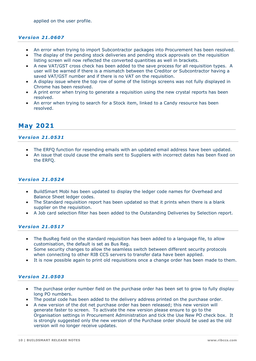# Vers ion 21 .0607

- An error when trying to import Subcontractor packages into Procurement has been resolved.
- The display of the pending stock deliveries and pending stock approvals on the requisition listing screen will now reflected the converted quantities as well in brackets.
- A new VAT/GST cross check has been added to the save process for all requisition types. A user will be warned if there is a mismatch between the Creditor or Subcontractor having a saved VAT/GST number and if there is no VAT on the requisition.
- A display issue where the top row of some of the listings screens was not fully displayed in Chrome has been resolved.
- A print error when trying to generate a requisition using the new crystal reports has been resolved.
- An error when trying to search for a Stock item, linked to a Candy resource has been resolved.

# May 2021

## Vers ion 21 .0531

- The ERFQ function for resending emails with an updated email address have been updated.
- An issue that could cause the emails sent to Suppliers with incorrect dates has been fixed on the ERFQ.

# Vers ion 21 .0524

- BuildSmart Mobi has been updated to display the ledger code names for Overhead and Balance Sheet ledger codes.
- The Standard requisition report has been updated so that it prints when there is a blank supplier on the requisition.
- A Job card selection filter has been added to the Outstanding Deliveries by Selection report.

## Vers ion 21 .0517

- The BusReg field on the standard requisition has been added to a language file, to allow customisation, the default is set as Bus Reg.
- Some security changes to allow the seamless switch between different security protocols when connecting to other RIB CCS servers to transfer data have been applied.
- It is now possible again to print old requisitions once a change order has been made to them.

# Vers ion 21 .0503

- The purchase order number field on the purchase order has been set to grow to fully display long PO numbers.
- The postal code has been added to the delivery address printed on the purchase order.
- A new version of the dot net purchase order has been released; this new version will generate faster to screen. To activate the new version please ensure to go to the Organisation settings in Procurement Administration and tick the Use New PO check box. It is strongly suggested only the new version of the Purchase order should be used as the old version will no longer receive updates.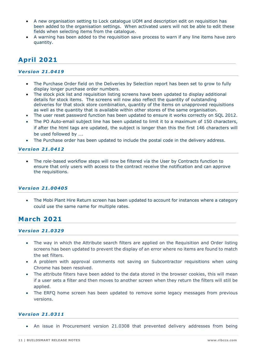- A new organisation setting to Lock catalogue UOM and description edit on requisition has been added to the organisation settings. When activated users will not be able to edit these fields when selecting items from the catalogue.
- A warning has been added to the requisition save process to warn if any line items have zero quantity.

# April 2021

# **Version 21.0419**

- The Purchase Order field on the Deliveries by Selection report has been set to grow to fully display longer purchase order numbers.
- The stock pick list and requisition listing screens have been updated to display additional details for stock items. The screens will now also reflect the quantity of outstanding deliveries for that stock store combination, quantity of the items on unapproved requisitions as well as the quantity that is available within other stores of the same organisation.
- The user reset password function has been updated to ensure it works correctly on SQL 2012.
- The PO Auto-email subject line has been updated to limit it to a maximum of 150 characters, if after the html tags are updated, the subject is longer than this the first 146 characters will be used followed by ….
- The Purchase order has been updated to include the postal code in the delivery address.

# Vers ion 21 .0412

 The role-based workflow steps will now be filtered via the User by Contracts function to ensure that only users with access to the contract receive the notification and can approve the requisitions.

## Vers ion 21 .00405

 The Mobi Plant Hire Return screen has been updated to account for instances where a category could use the same name for multiple rates.

# March 2021

## Vers ion 21 .0329

- The way in which the Attribute search filters are applied on the Requisition and Order listing screens has been updated to prevent the display of an error where no items are found to match the set filters.
- A problem with approval comments not saving on Subcontractor requisitions when using Chrome has been resolved.
- The attribute filters have been added to the data stored in the browser cookies, this will mean if a user sets a filter and then moves to another screen when they return the filters will still be applied.
- The ERFQ home screen has been updated to remove some legacy messages from previous versions.

## Vers ion 21 .0311

An issue in Procurement version 21.0308 that prevented delivery addresses from being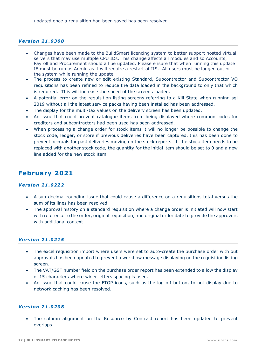updated once a requisition had been saved has been resolved.

# Vers ion 21 .0308

- Changes have been made to the BuildSmart licencing system to better support hosted virtual servers that may use multiple CPU IDs. This change affects all modules and so Accounts, Payroll and Procurement should all be updated. Please ensure that when running this update IE must be run as Admin as it will require a restart of IIS. All users must be logged out of the system while running the update.
- The process to create new or edit existing Standard, Subcontractor and Subcontractor VO requisitions has been refined to reduce the data loaded in the background to only that which is required. This will increase the speed of the screens loaded.
- A potential error on the requisition listing screens referring to a Kill State when running sql 2019 without all the latest service packs having been installed has been addressed.
- The display for the multi-tax values on the delivery screen has been updated.
- An issue that could prevent catalogue items from being displayed where common codes for creditors and subcontractors had been used has been addressed.
- When processing a change order for stock items it will no longer be possible to change the stock code, ledger, or store if previous deliveries have been captured, this has been done to prevent accruals for past deliveries moving on the stock reports. If the stock item needs to be replaced with another stock code, the quantity for the initial item should be set to 0 and a new line added for the new stock item.

# February 2021

# Vers ion 21 .0222

- A sub-decimal rounding issue that could cause a difference on a requisitions total versus the sum of its lines has been resolved.
- The approval history on a standard requisition where a change order is initiated will now start with reference to the order, original requisition, and original order date to provide the approvers with additional context.

# Vers ion 21 .0215

- The excel requisition import where users were set to auto-create the purchase order with out approvals has been updated to prevent a workflow message displaying on the requisition listing screen.
- The VAT/GST number field on the purchase order report has been extended to allow the display of 15 characters where wider letters spacing is used.
- An issue that could cause the FTOP icons, such as the log off button, to not display due to network caching has been resolved.

## Vers ion 21 .0208

 The column alignment on the Resource by Contract report has been updated to prevent overlaps.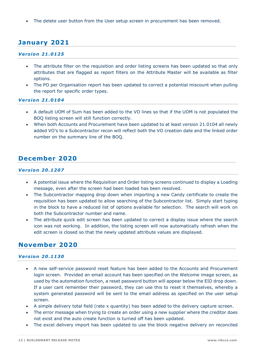• The delete user button from the User setup screen in procurement has been removed.

# January 2021

# **Version 21.0125**

- The attribute filter on the requisition and order listing screens has been updated so that only attributes that are flagged as report filters on the Attribute Master will be available as filter options.
- The PO per Organisation report has been updated to correct a potential miscount when pulling the report for specific order types.

# Vers ion 21 .0104

- A default UOM of Sum has been added to the VO lines so that if the UOM is not populated the BOQ listing screen will still function correctly.
- When both Accounts and Procurement have been updated to at least version 21.0104 all newly added VO's to a Subcontractor recon will reflect both the VO creation date and the linked order number on the summary line of the BOQ.

# December 2020

# Vers ion 20 .1207

- A potential issue where the Requisition and Order listing screens continued to display a Loading message, even after the screen had been loaded has been resolved.
- The Subcontractor mapping drop down when importing a new Candy certificate to create the requisition has been updated to allow searching of the Subcontractor list. Simply start typing in the block to have a reduced list of options available for selection. The search will work on both the Subcontractor number and name.
- The attribute quick edit screen has been updated to correct a display issue where the search icon was not working. In addition, the listing screen will now automatically refresh when the edit screen is closed so that the newly updated attribute values are displayed.

# November 2020

# Vers ion 20 .1130

- A new self-service password reset feature has been added to the Accounts and Procurement login screen. Provided an email account has been specified on the Welcome image screen, as used by the automation function, a reset password button will appear below the EID drop down. If a user cant remember their password, they can use this to reset it themselves, whereby a system generated password will be sent to the email address as specified on the user setup screen.
- A simple delivery total field (rate x quantity) has been added to the delivery capture screen.
- The error message when trying to create an order using a new supplier where the creditor does not exist and the auto create function is turned off has been updated.
- The excel delivery import has been updated to use the block negative delivery on reconciled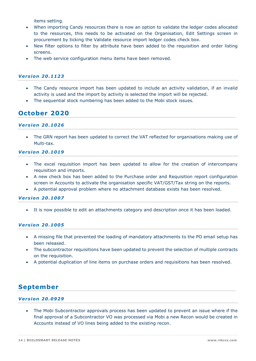items setting.

- When importing Candy resources there is now an option to validate the ledger codes allocated to the resources, this needs to be activated on the Organisation, Edit Settings screen in procurement by ticking the Validate resource import ledger codes check box.
- New filter options to filter by attribute have been added to the requisition and order listing screens.
- The web service configuration menu items have been removed.

# Vers ion 20 .1123

- The Candy resource import has been updated to include an activity validation, if an invalid activity is used and the import by activity is selected the import will be rejected.
- The sequential stock numbering has been added to the Mobi stock issues.

# October 2020

# Vers ion 20 .1026

 The GRN report has been updated to correct the VAT reflected for organisations making use of Multi-tax.

# Vers ion 20 .1019

- The excel requisition import has been updated to allow for the creation of intercompany requisition and imports.
- A new check box has been added to the Purchase order and Requisition report configuration screen in Accounts to activate the organisation specific VAT/GST/Tax string on the reports.
- A potential approval problem where no attachment database exists has been resolved.

## Vers ion 20 .1007

It is now possible to edit an attachments category and description once it has been loaded.

## Vers ion 20 .1005

- A missing file that prevented the loading of mandatory attachments to the PO email setup has been released.
- The subcontractor requisitions have been updated to prevent the selection of multiple contracts on the requisition.
- A potential duplication of line items on purchase orders and requisitions has been resolved.

# September

# Vers ion 20 .0929

 The Mobi Subcontractor approvals process has been updated to prevent an issue where if the final approval of a Subcontractor VO was processed via Mobi a new Recon would be created in Accounts instead of VO lines being added to the existing recon.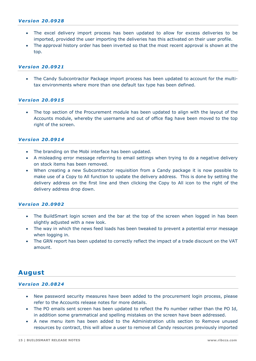- The excel delivery import process has been updated to allow for excess deliveries to be imported, provided the user importing the deliveries has this activated on their user profile.
- The approval history order has been inverted so that the most recent approval is shown at the top.

## Vers ion 20 .0921

 The Candy Subcontractor Package import process has been updated to account for the multitax environments where more than one default tax type has been defined.

#### Vers ion 20 .0915

 The top section of the Procurement module has been updated to align with the layout of the Accounts module, whereby the username and out of office flag have been moved to the top right of the screen.

## Vers ion 20 .0914

- The branding on the Mobi interface has been updated.
- A misleading error message referring to email settings when trying to do a negative delivery on stock items has been removed.
- When creating a new Subcontractor requisition from a Candy package it is now possible to make use of a Copy to All function to update the delivery address. This is done by setting the delivery address on the first line and then clicking the Copy to All icon to the right of the delivery address drop down.

# Vers ion 20 .0902

- The BuildSmart login screen and the bar at the top of the screen when logged in has been slightly adjusted with a new look.
- The way in which the news feed loads has been tweaked to prevent a potential error message when logging in.
- The GRN report has been updated to correctly reflect the impact of a trade discount on the VAT amount.

# August

# Vers ion 20 .0824

- New password security measures have been added to the procurement login process, please refer to the Accounts release notes for more details.
- The PO emails sent screen has been updated to reflect the Po number rather than the PO Id, in addition some grammatical and spelling mistakes on the screen have been addressed.
- A new menu item has been added to the Administration utils section to Remove unused resources by contract, this will allow a user to remove all Candy resources previously imported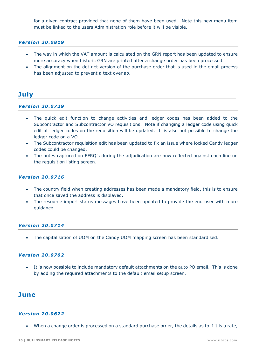for a given contract provided that none of them have been used. Note this new menu item must be linked to the users Administration role before it will be visible.

# Vers ion 20 .0819

- The way in which the VAT amount is calculated on the GRN report has been updated to ensure more accuracy when historic GRN are printed after a change order has been processed.
- The alignment on the dot net version of the purchase order that is used in the email process has been adjusted to prevent a text overlap.

# July

## Vers ion 20 .0729

- The quick edit function to change activities and ledger codes has been added to the Subcontractor and Subcontractor VO requisitions. Note if changing a ledger code using quick edit all ledger codes on the requisition will be updated. It is also not possible to change the ledger code on a VO.
- The Subcontractor requisition edit has been updated to fix an issue where locked Candy ledger codes could be changed.
- The notes captured on EFRQ's during the adjudication are now reflected against each line on the requisition listing screen.

## Vers ion 20 .0716

- The country field when creating addresses has been made a mandatory field, this is to ensure that once saved the address is displayed.
- The resource import status messages have been updated to provide the end user with more guidance.

## Vers ion 20 .0714

The capitalisation of UOM on the Candy UOM mapping screen has been standardised.

# Vers ion 20 .0702

 It is now possible to include mandatory default attachments on the auto PO email. This is done by adding the required attachments to the default email setup screen.

# June

## Vers ion 20 .0622

When a change order is processed on a standard purchase order, the details as to if it is a rate,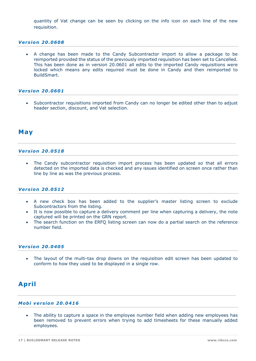quantity of Vat change can be seen by clicking on the info icon on each line of the new requisition.

## Vers ion 20 .0608

 A change has been made to the Candy Subcontractor import to allow a package to be reimported provided the status of the previously imported requisition has been set to Cancelled. This has been done as in version 20.0601 all edits to the imported Candy requisitions were locked which means any edits required must be done in Candy and then reimported to BuildSmart.

## **Version 20.0601**

 Subcontractor requisitions imported from Candy can no longer be edited other than to adjust header section, discount, and Vat selection.

# May

## Vers ion 20 .0518

 The Candy subcontractor requisition import process has been updated so that all errors detected on the imported data is checked and any issues identified on screen once rather than line by line as was the previous process.

#### Vers ion 20 .0512

- A new check box has been added to the supplier's master listing screen to exclude Subcontractors from the listing.
- It is now possible to capture a delivery comment per line when capturing a delivery, the note captured will be printed on the GRN report.
- The search function on the ERFQ listing screen can now do a partial search on the reference number field.

# Vers ion 20 .0405

 The layout of the multi-tax drop downs on the requisition edit screen has been updated to conform to how they used to be displayed in a single row.

# April

# Mobi version 20.0416

 The ability to capture a space in the employee number field when adding new employees has been removed to prevent errors when trying to add timesheets for these manually added employees.